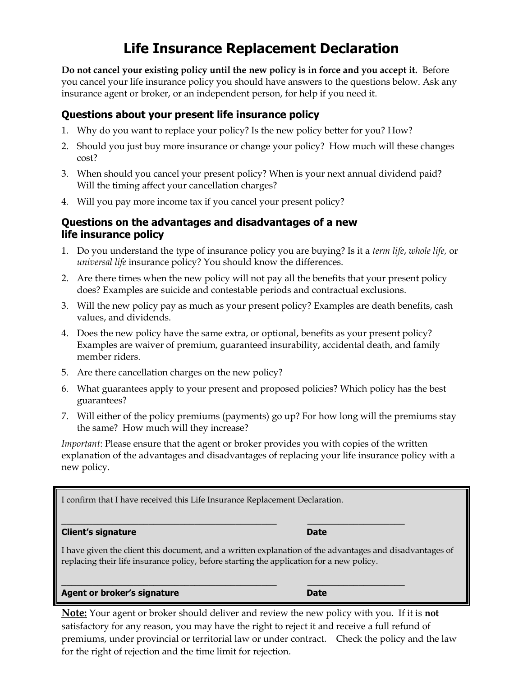# **Life Insurance Replacement Declaration**

**Do not cancel your existing policy until the new policy is in force and you accept it.** Before you cancel your life insurance policy you should have answers to the questions below. Ask any insurance agent or broker, or an independent person, for help if you need it.

## **Questions about your present life insurance policy**

- 1. Why do you want to replace your policy? Is the new policy better for you? How?
- 2. Should you just buy more insurance or change your policy? How much will these changes cost?
- 3. When should you cancel your present policy? When is your next annual dividend paid? Will the timing affect your cancellation charges?
- 4. Will you pay more income tax if you cancel your present policy?

## **Questions on the advantages and disadvantages of a new life insurance policy**

- 1. Do you understand the type of insurance policy you are buying? Is it a *term life*, *whole life,* or *universal life* insurance policy? You should know the differences.
- 2. Are there times when the new policy will not pay all the benefits that your present policy does? Examples are suicide and contestable periods and contractual exclusions.
- 3. Will the new policy pay as much as your present policy? Examples are death benefits, cash values, and dividends.
- 4. Does the new policy have the same extra, or optional, benefits as your present policy? Examples are waiver of premium, guaranteed insurability, accidental death, and family member riders.
- 5. Are there cancellation charges on the new policy?
- 6. What guarantees apply to your present and proposed policies? Which policy has the best guarantees?
- 7. Will either of the policy premiums (payments) go up? For how long will the premiums stay the same? How much will they increase?

*Important*: Please ensure that the agent or broker provides you with copies of the written explanation of the advantages and disadvantages of replacing your life insurance policy with a new policy.

I confirm that I have received this Life Insurance Replacement Declaration.

#### **Client's signature Date**

I have given the client this document, and a written explanation of the advantages and disadvantages of replacing their life insurance policy, before starting the application for a new policy.

\_\_\_\_\_\_\_\_\_\_\_\_\_\_\_\_\_\_\_\_\_\_\_\_\_\_\_\_\_\_\_\_\_\_\_\_\_\_\_\_\_\_ **\_\_\_\_\_\_\_\_\_\_\_\_\_\_\_\_\_\_\_**

\_\_\_\_\_\_\_\_\_\_\_\_\_\_\_\_\_\_\_\_\_\_\_\_\_\_\_\_\_\_\_\_\_\_\_\_\_\_\_\_\_\_ **\_\_\_\_\_\_\_\_\_\_\_\_\_\_\_\_\_\_\_**

#### **Agent or broker's signature Date**

**Note:** Your agent or broker should deliver and review the new policy with you. If it is **not** satisfactory for any reason, you may have the right to reject it and receive a full refund of premiums, under provincial or territorial law or under contract. Check the policy and the law for the right of rejection and the time limit for rejection.